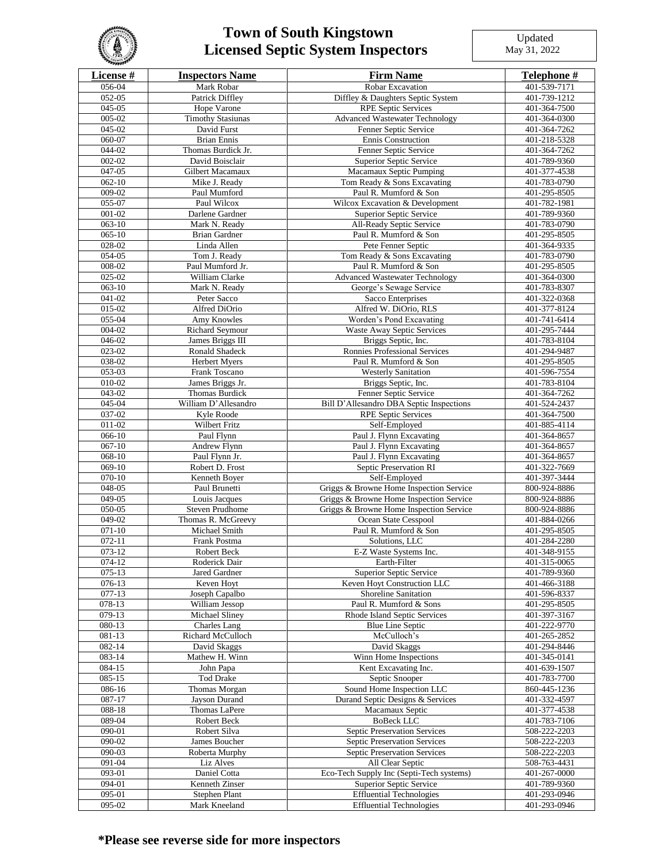

## **Town of South Kingstown Licensed Septic System Inspectors**

 Updated May 31, 2022

| <b>CONTRACTORY</b>    |                          |                                          |                    |
|-----------------------|--------------------------|------------------------------------------|--------------------|
| <b>License #</b>      | <b>Inspectors Name</b>   | <b>Firm Name</b>                         | Telephone #        |
| 056-04                | Mark Robar               | Robar Excavation                         | 401-539-7171       |
| 052-05                | Patrick Diffley          | Diffley & Daughters Septic System        | 401-739-1212       |
| 045-05                | Hope Varone              | <b>RPE Septic Services</b>               | 401-364-7500       |
| 005-02                | <b>Timothy Stasiunas</b> | <b>Advanced Wastewater Technology</b>    | 401-364-0300       |
| $\overline{045} - 02$ | David Furst              |                                          | 401-364-7262       |
|                       |                          | Fenner Septic Service                    |                    |
| $060 - 07$            | <b>Brian Ennis</b>       | <b>Ennis Construction</b>                | 401-218-5328       |
| 044-02                | Thomas Burdick Jr.       | Fenner Septic Service                    | 401-364-7262       |
| 002-02                | David Boisclair          | Superior Septic Service                  | 401-789-9360       |
| 047-05                | Gilbert Macamaux         | Macamaux Septic Pumping                  | 401-377-4538       |
| $062 - 10$            | Mike J. Ready            | Tom Ready & Sons Excavating              | 401-783-0790       |
| 009-02                | Paul Mumford             | Paul R. Mumford & Son                    | 401-295-8505       |
| 055-07                | Paul Wilcox              | Wilcox Excavation & Development          | 401-782-1981       |
| 001-02                | Darlene Gardner          | Superior Septic Service                  | 401-789-9360       |
| $063 - 10$            | Mark N. Ready            | All-Ready Septic Service                 | 401-783-0790       |
| $065 - 10$            | <b>Brian Gardner</b>     | Paul R. Mumford & Son                    | 401-295-8505       |
| 028-02                | Linda Allen              | Pete Fenner Septic                       | 401-364-9335       |
| 054-05                | Tom J. Ready             | Tom Ready & Sons Excavating              | 401-783-0790       |
| 008-02                | Paul Mumford Jr.         | Paul R. Mumford & Son                    | 401-295-8505       |
| 025-02                | William Clarke           | <b>Advanced Wastewater Technology</b>    | 401-364-0300       |
|                       |                          |                                          |                    |
| $063 - 10$            | Mark N. Ready            | George's Sewage Service                  | 401-783-8307       |
| 041-02                | Peter Sacco              | Sacco Enterprises                        | 401-322-0368       |
| 015-02                | Alfred DiOrio            | Alfred W. DiOrio, RLS                    | 401-377-8124       |
| 055-04                | <b>Amy Knowles</b>       | Worden's Pond Excavating                 | 401-741-6414       |
| 004-02                | <b>Richard Seymour</b>   | Waste Away Septic Services               | 401-295-7444       |
| 046-02                | James Briggs III         | Briggs Septic, Inc.                      | 401-783-8104       |
| 023-02                | Ronald Shadeck           | <b>Ronnies Professional Services</b>     | 401-294-9487       |
| 038-02                | <b>Herbert Myers</b>     | Paul R. Mumford & Son                    | 401-295-8505       |
| $053-03$              | Frank Toscano            | <b>Westerly Sanitation</b>               | 401-596-7554       |
| 010-02                | James Briggs Jr.         | Briggs Septic, Inc.                      | 401-783-8104       |
| 043-02                | <b>Thomas Burdick</b>    | Fenner Septic Service                    | 401-364-7262       |
| 045-04                | William D'Allesandro     | Bill D'Allesandro DBA Septic Inspections | 401-524-2437       |
| 037-02                | Kyle Roode               | <b>RPE Septic Services</b>               | 401-364-7500       |
| 011-02                | <b>Wilbert Fritz</b>     | Self-Employed                            | 401-885-4114       |
|                       |                          |                                          |                    |
| 066-10                | Paul Flynn               | Paul J. Flynn Excavating                 | 401-364-8657       |
| $067 - 10$            | Andrew Flynn             | Paul J. Flynn Excavating                 | 401-364-8657       |
| 068-10                | Paul Flynn Jr.           | Paul J. Flynn Excavating                 | 401-364-8657       |
| 069-10                | Robert D. Frost          | Septic Preservation RI                   | 401-322-7669       |
| $070 - 10$            | Kenneth Boyer            | Self-Employed                            | 401-397-3444       |
| 048-05                | Paul Brunetti            | Griggs & Browne Home Inspection Service  | 800-924-8886       |
| 049-05                | Louis Jacques            | Griggs & Browne Home Inspection Service  | 800-924-8886       |
| $050 - 05$            | <b>Steven Prudhome</b>   | Griggs & Browne Home Inspection Service  | 800-924-8886       |
| 049-02                | Thomas R. McGreevy       | Ocean State Cesspool                     | 401-884-0266       |
| $071 - 10$            | Michael Smith            | Paul R. Mumford & Son                    | 401-295-8505       |
| $072 - 11$            | Frank Postma             | Solutions, LLC                           | 401-284-2280       |
| $073 - 12$            | Robert Beck              | E-Z Waste Systems Inc.                   | 401-348-9155       |
| 074-12                | Roderick Dair            | Earth-Filter                             | 401-315-0065       |
| $075 - 13$            | Jared Gardner            | <b>Superior Septic Service</b>           | 401-789-9360       |
| 076-13                | Keven Hoyt               | Keven Hoyt Construction LLC              | 401-466-3188       |
| 077-13                | Joseph Capalbo           | Shoreline Sanitation                     | 401-596-8337       |
|                       | William Jessop           |                                          |                    |
| 078-13                |                          | Paul R. Mumford & Sons                   | 401-295-8505       |
| 079-13                | Michael Sliney           | Rhode Island Septic Services             | 401-397-3167       |
| 080-13                | Charles Lang             | <b>Blue Line Septic</b>                  | 401-222-9770       |
| 081-13                | Richard McCulloch        | McCulloch's                              | 401-265-2852       |
| 082-14                | David Skaggs             | David Skaggs                             | 401-294-8446       |
| 083-14                | Mathew H. Winn           | Winn Home Inspections                    | 401-345-0141       |
| 084-15                | John Papa                | Kent Excavating Inc.                     | 401-639-1507       |
| 085-15                | <b>Tod Drake</b>         | Septic Snooper                           | 401-783-7700       |
| 086-16                | Thomas Morgan            | Sound Home Inspection LLC                | 860-445-1236       |
| 087-17                | Jayson Durand            | Durand Septic Designs & Services         | 401-332-4597       |
| 088-18                | Thomas LaPere            | Macamaux Septic                          | 401-377-4538       |
| 089-04                | Robert Beck              | <b>BoBeck LLC</b>                        | 401-783-7106       |
| 090-01                | Robert Silva             | Septic Preservation Services             | 508-222-2203       |
| 090-02                | James Boucher            | Septic Preservation Services             | 508-222-2203       |
| 090-03                | Roberta Murphy           | Septic Preservation Services             |                    |
|                       |                          |                                          | 508-222-2203       |
| 091-04                | Liz Alves                | All Clear Septic                         | 508-763-4431       |
| 093-01                | Daniel Cotta             | Eco-Tech Supply Inc (Septi-Tech systems) | $401 - 267 - 0000$ |
| 094-01                | Kenneth Zinser           | Superior Septic Service                  | 401-789-9360       |
| 095-01                | Stephen Plant            | <b>Effluential Technologies</b>          | 401-293-0946       |
| 095-02                | Mark Kneeland            | <b>Effluential Technologies</b>          | 401-293-0946       |

## **\*Please see reverse side for more inspectors**